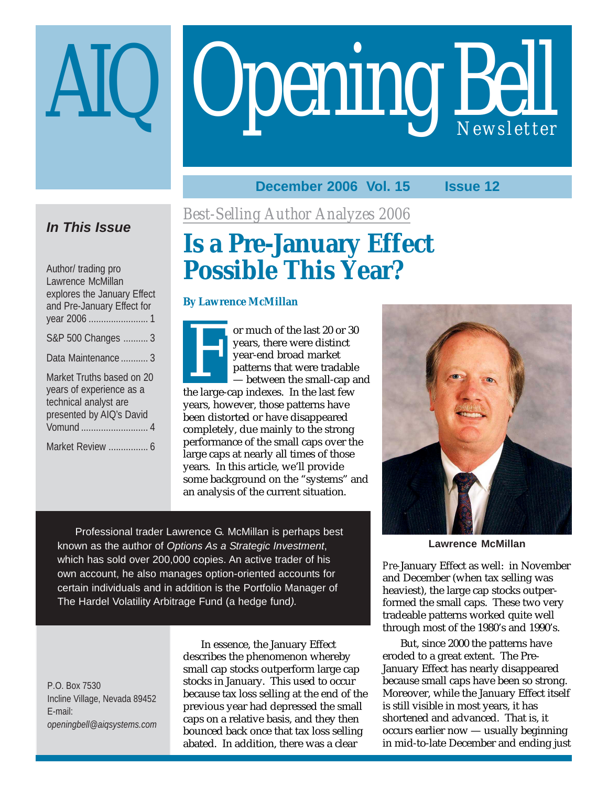# Opening Bell

# **December 2006 Vol. 15 Issue 12**

# **In This Issue**

| Author/ trading pro<br>Lawrence McMillan<br>explores the January Effect<br>and Pre-January Effect for      |  |
|------------------------------------------------------------------------------------------------------------|--|
| S&P 500 Changes  3                                                                                         |  |
| Data Maintenance  3                                                                                        |  |
| Market Truths based on 20<br>years of experience as a<br>technical analyst are<br>presented by AIQ's David |  |
|                                                                                                            |  |
|                                                                                                            |  |

*Best-Selling Author Analyzes 2006*

# **Is a Pre-January Effect** Possible This Year?

# **By Lawrence McMillan**

F or much of the last 20 or 30<br>years, there were distinct<br>year-end broad market<br>patterns that were tradable<br>— between the small-cap a<br>he large-cap indexes. In the last few years, there were distinct year-end broad market patterns that were tradable — between the small-cap and the large-cap indexes. In the last few years, however, those patterns have been distorted or have disappeared completely, due mainly to the strong performance of the small caps over the large caps at nearly all times of those years. In this article, we'll provide some background on the "systems" and an analysis of the current situation.

Professional trader Lawrence G. McMillan is perhaps best known as the author of Options As a Strategic Investment, which has sold over 200,000 copies. An active trader of his own account, he also manages option-oriented accounts for certain individuals and in addition is the Portfolio Manager of The Hardel Volatility Arbitrage Fund (a hedge fund).

P.O. Box 7530 Incline Village, Nevada 89452 E-mail: *openingbell@aiqsystems.com*

In essence, the January Effect describes the phenomenon whereby small cap stocks outperform large cap stocks in January. This used to occur because tax loss selling at the end of the previous year had depressed the small caps on a relative basis, and they then bounced back once that tax loss selling abated. In addition, there was a clear



**Lawrence McMillan**

*Pre-*January Effect as well: in November and December (when tax selling was heaviest), the large cap stocks outperformed the small caps. These two very tradeable patterns worked quite well through most of the 1980's and 1990's.

But, since 2000 the patterns have eroded to a great extent. The Pre-January Effect has nearly disappeared because small caps have been so strong. Moreover, while the January Effect itself is still visible in most years, it has shortened and advanced. That is, it occurs earlier now — usually beginning in mid-to-late December and ending just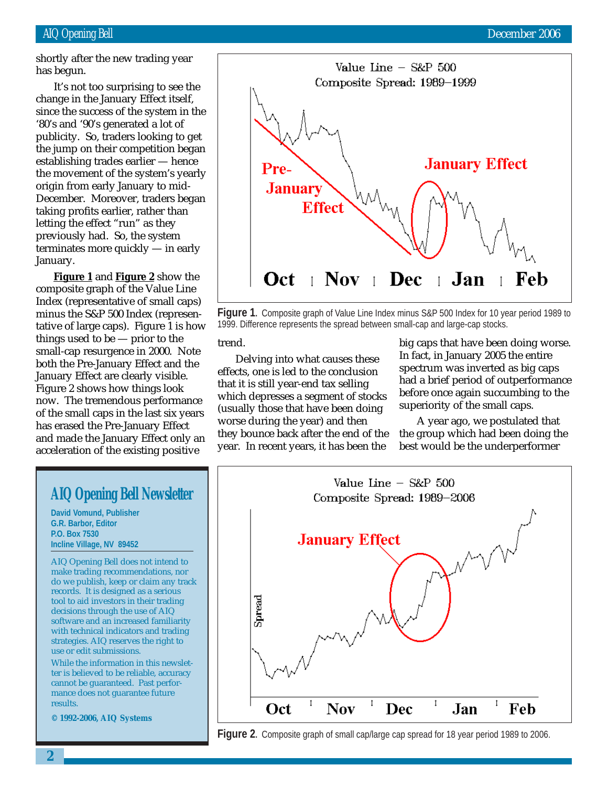shortly after the new trading year has begun.

change in the January Effect itself, It's not too surprising to see the since the success of the system in the '80's and '90's generated a lot of publicity. So, traders looking to get the jump on their competition began establishing trades earlier — hence the movement of the system's yearly origin from early January to mid-December. Moreover, traders began taking profits earlier, rather than letting the effect "run" as they previously had. So, the system terminates more quickly — in early January.

**Figure 1** and **Figure 2** show the composite graph of the Value Line Index (representative of small caps) minus the S&P 500 Index (representative of large caps). Figure 1 is how things used to be — prior to the small-cap resurgence in 2000. Note both the Pre-January Effect and the January Effect are clearly visible. Figure 2 shows how things look now. The tremendous performance of the small caps in the last six years has erased the Pre-January Effect and made the January Effect only an acceleration of the existing positive



**Figure 1.** Composite graph of Value Line Index minus S&P 500 Index for 10 year period 1989 to 1999. Difference represents the spread between small-cap and large-cap stocks.

#### trend.

Delving into what causes these effects, one is led to the conclusion that it is still year-end tax selling which depresses a segment of stocks (usually those that have been doing worse during the year) and then they bounce back after the end of the year. In recent years, it has been the

big caps that have been doing worse. In fact, in January 2005 the entire spectrum was inverted as big caps had a brief period of outperformance before once again succumbing to the superiority of the small caps.

A year ago, we postulated that the group which had been doing the best would be the underperformer





# **AIQ Opening Bell Newsletter**

**David Vomund, Publisher G.R. Barbor, Editor P.O. Box 7530 Incline Village, NV 89452**

AIQ Opening Bell does not intend to make trading recommendations, nor do we publish, keep or claim any track records. It is designed as a serious tool to aid investors in their trading decisions through the use of AIQ software and an increased familiarity with technical indicators and trading strategies. AIQ reserves the right to use or edit submissions.

While the information in this newsletter is believed to be reliable, accuracy cannot be guaranteed. Past performance does not guarantee future results.

**© 1992-2006, AIQ Systems**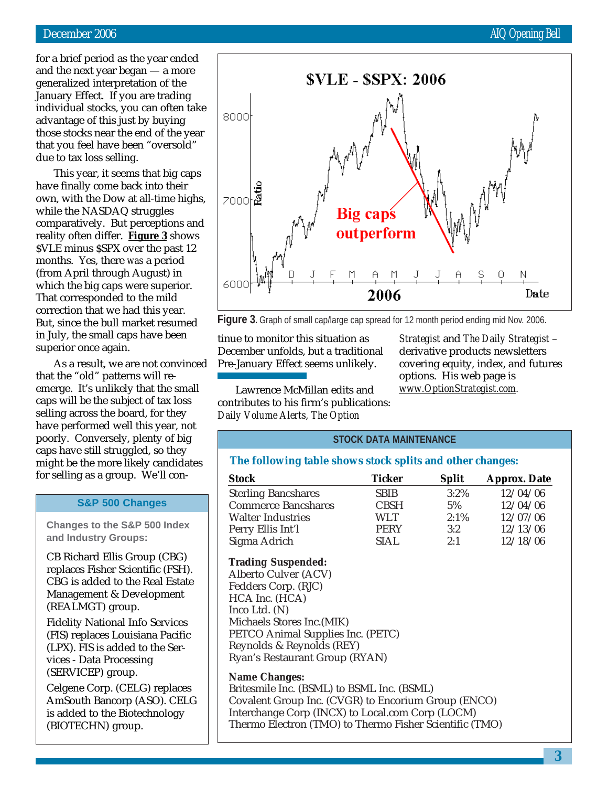for a brief period as the year ended and the next year began — a more generalized interpretation of the January Effect. If you are trading individual stocks, you can often take advantage of this just by buying those stocks near the end of the year that you feel have been "oversold" due to tax loss selling.

This year, it seems that big caps have finally come back into their own, with the Dow at all-time highs, while the NASDAQ struggles comparatively. But perceptions and reality often differ. **Figure 3** shows \$VLE minus \$SPX over the past 12 months. Yes, there *was* a period (from April through August) in which the big caps were superior. That corresponded to the mild correction that we had this year. But, since the bull market resumed in July, the small caps have been superior once again.

As a result, we are not convinced that the "old" patterns will reemerge. It's unlikely that the small caps will be the subject of tax loss selling across the board, for they have performed well this year, not poorly. Conversely, plenty of big caps have still struggled, so they might be the more likely candidates for selling as a group. We'll con-

#### **S&P 500 Changes**

**Changes to the S&P 500 Index and Industry Groups:**

CB Richard Ellis Group (CBG) replaces Fisher Scientific (FSH). CBG is added to the Real Estate Management & Development (REALMGT) group.

Fidelity National Info Services (FIS) replaces Louisiana Pacific (LPX). FIS is added to the Services - Data Processing (SERVICEP) group.

Celgene Corp. (CELG) replaces AmSouth Bancorp (ASO). CELG is added to the Biotechnology (BIOTECHN) group.



**Figure 3.** Graph of small cap/large cap spread for 12 month period ending mid Nov. 2006.

tinue to monitor this situation as December unfolds, but a traditional Pre-January Effect seems unlikely.

*Strategist* and *The Daily Strategist* – derivative products newsletters covering equity, index, and futures options. His web page is *www.OptionStrategist.com.*

Lawrence McMillan edits and contributes to his firm's publications: *Daily Volume Alerts, The Option*

# **STOCK DATA MAINTENANCE**

## **The following table shows stock splits and other changes:**

| <b>Stock</b>               | Ticker      | <b>Split</b> | <b>Approx. Date</b> |
|----------------------------|-------------|--------------|---------------------|
| <b>Sterling Bancshares</b> | <b>SBIB</b> | $3:2\%$      | 12/04/06            |
| <b>Commerce Bancshares</b> | <b>CBSH</b> | 5%           | 12/04/06            |
| <b>Walter Industries</b>   | WLT.        | 2:1%         | 12/07/06            |
| Perry Ellis Int'l          | <b>PERY</b> | 3:2          | 12/13/06            |
| Sigma Adrich               | SIAL.       | 2:1          | 12/18/06            |

## **Trading Suspended:**

Alberto Culver (ACV) Fedders Corp. (RJC) HCA Inc. (HCA) Inco Ltd. (N) Michaels Stores Inc.(MIK) PETCO Animal Supplies Inc. (PETC) Reynolds & Reynolds (REY) Ryan's Restaurant Group (RYAN)

#### **Name Changes:**

Britesmile Inc. (BSML) to BSML Inc. (BSML) Covalent Group Inc. (CVGR) to Encorium Group (ENCO) Interchange Corp (INCX) to Local.com Corp (LOCM) Thermo Electron (TMO) to Thermo Fisher Scientific (TMO)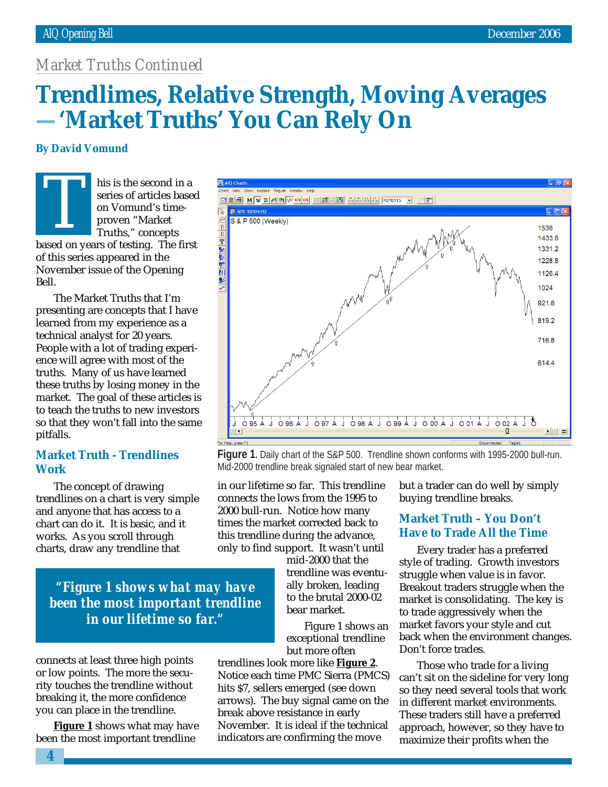# *Market Truths Continued*

# March 2002 **Trendlimes, Relative Strength, Moving Averages —'Market Truths' You Can Rely On**

# **By David Vomund**

Bell.

his is the second in a series of articles based on Vomund's timeproven "Market Truths," concepts based on years of articles based<br>
on Vomund's time-<br>
proven "Market<br>
Truths," concepts<br>
based on years of testing. The first of this series appeared in the November issue of the Opening

The Market Truths that I'm presenting are concepts that I have learned from my experience as a technical analyst for 20 years. People with a lot of trading experience will agree with most of the truths. Many of us have learned these truths by losing money in the market. The goal of these articles is to teach the truths to new investors so that they won't fall into the same pitfalls.

# **Market Truth - Trendlines Work**

The concept of drawing trendlines on a chart is very simple and anyone that has access to a chart can do it. It is basic, and it works. As you scroll through charts, draw any trendline that

*"Figure 1 shows what may have been the most important trendline in our lifetime so far."*

connects at least three high points or low points. The more the security touches the trendline without breaking it, the more confidence you can place in the trendline.

**Figure 1** shows what may have been the most important trendline



**Figure 1.** Daily chart of the S&P 500. Trendline shown conforms with 1995-2000 bull-run. Mid-2000 trendline break signaled start of new bear market.

in our lifetime so far. This trendline connects the lows from the 1995 to 2000 bull-run. Notice how many times the market corrected back to this trendline during the advance, only to find support. It wasn't until

mid-2000 that the trendline was eventually broken, leading to the brutal 2000-02 bear market.

Figure 1 shows an exceptional trendline but more often

trendlines look more like **Figure 2**. Notice each time PMC Sierra (PMCS) hits \$7, sellers emerged (see down arrows). The buy signal came on the break above resistance in early November. It is ideal if the technical indicators are confirming the move

but a trader can do well by simply buying trendline breaks.

# **Market Truth – You Don't Have to Trade All the Time**

Every trader has a preferred style of trading. Growth investors struggle when value is in favor. Breakout traders struggle when the market is consolidating. The key is to trade aggressively when the market favors your style and cut back when the environment changes. Don't force trades.

Those who trade for a living can't sit on the sideline for very long so they need several tools that work in different market environments. These traders still have a preferred approach, however, so they have to maximize their profits when the

**4**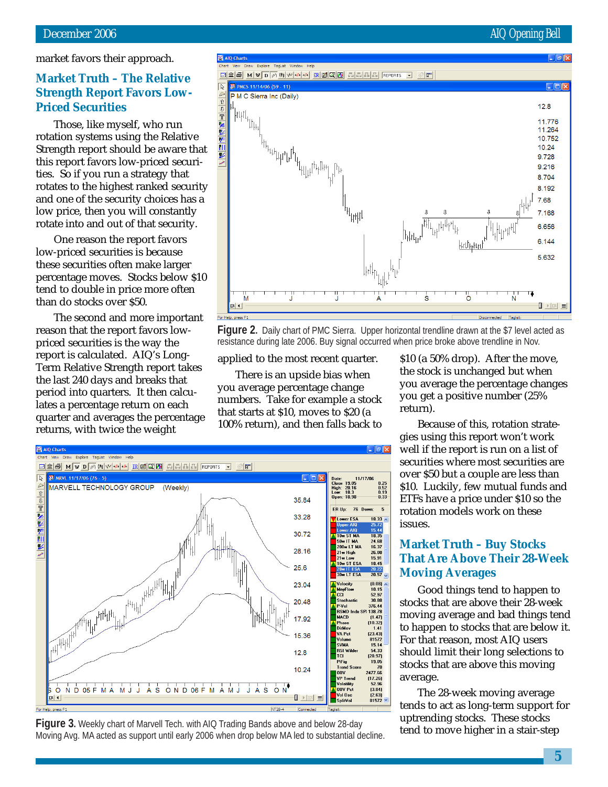market favors their approach.

# **Market Truth – The Relative Priced Securities**

**Strength Report Favors Low-<br>Priced Securities<br>Those, like myself, who run<br>rotation systems using the Relativ<br>Strength report should be aware t** Those, like myself, who run rotation systems using the Relative Strength report should be aware that this report favors low-priced securities. So if you run a strategy that rotates to the highest ranked security and one of the security choices has a low price, then you will constantly rotate into and out of that security.

One reason the report favors low-priced securities is because these securities often make larger percentage moves. Stocks below \$10 tend to double in price more often than do stocks over \$50.

The second and more important reason that the report favors lowpriced securities is the way the report is calculated. AIQ's Long-Term Relative Strength report takes the last 240 days and breaks that period into quarters. It then calculates a percentage return on each quarter and averages the percentage returns, with twice the weight



**Figure 2.** Daily chart of PMC Sierra. Upper horizontal trendline drawn at the \$7 level acted as resistance during late 2006. Buy signal occurred when price broke above trendline in Nov.

applied to the most recent quarter.

There is an upside bias when you average percentage change numbers. Take for example a stock that starts at \$10, moves to \$20 (a 100% return), and then falls back to \$10 (a 50% drop). After the move, the stock is unchanged but when you average the percentage changes you get a positive number (25% return).

Because of this, rotation strategies using this report won't work well if the report is run on a list of securities where most securities are over \$50 but a couple are less than \$10. Luckily, few mutual funds and ETFs have a price under \$10 so the rotation models work on these issues.

# **Market Truth – Buy Stocks That Are Above Their 28-Week Moving Averages**

Good things tend to happen to stocks that are above their 28-week moving average and bad things tend to happen to stocks that are below it. For that reason, most AIQ users should limit their long selections to stocks that are above this moving average.

The 28-week moving average tends to act as long-term support for uptrending stocks. These stocks



tend to move higher in a stair-step **Figure 3.** Weekly chart of Marvell Tech. with AIQ Trading Bands above and below 28-day Moving Avg. MA acted as support until early 2006 when drop below MA led to substantial decline.